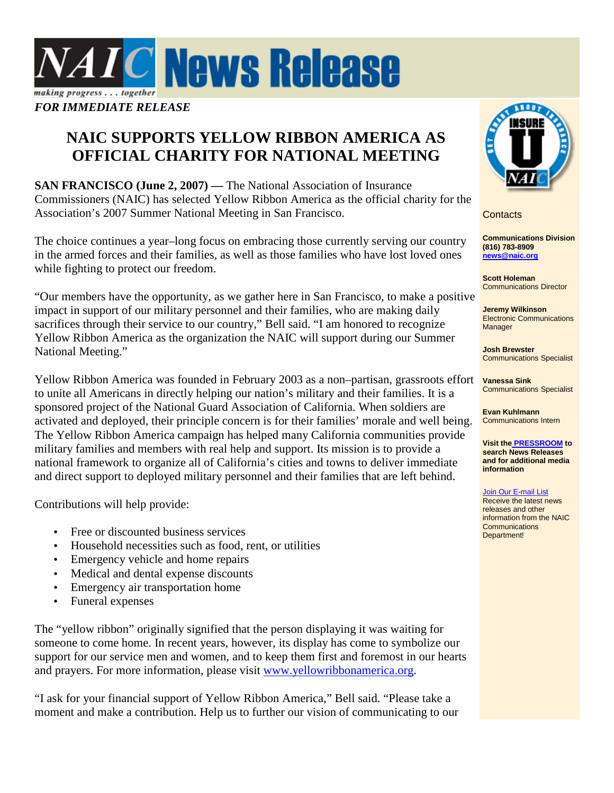

## **NAIC SUPPORTS YELLOW RIBBON AMERICA AS OFFICIAL CHARITY FOR NATIONAL MEETING**

**SAN FRANCISCO (June 2, 2007)** — The National Association of Insurance Commissioners (NAIC) has selected Yellow Ribbon America as the official charity for the Association's 2007 Summer National Meeting in San Francisco.

The choice continues a year–long focus on embracing those currently serving our country in the armed forces and their families, as well as those families who have lost loved ones while fighting to protect our freedom.

"Our members have the opportunity, as we gather here in San Francisco, to make a positive impact in support of our military personnel and their families, who are making daily sacrifices through their service to our country," Bell said. "I am honored to recognize Yellow Ribbon America as the organization the NAIC will support during our Summer National Meeting."

Yellow Ribbon America was founded in February 2003 as a non–partisan, grassroots effort to unite all Americans in directly helping our nation's military and their families. It is a sponsored project of the National Guard Association of California. When soldiers are activated and deployed, their principle concern is for their families' morale and well being. The Yellow Ribbon America campaign has helped many California communities provide military families and members with real help and support. Its mission is to provide a national framework to organize all of California's cities and towns to deliver immediate and direct support to deployed military personnel and their families that are left behind.

Contributions will help provide:

- Free or discounted business services
- Household necessities such as food, rent, or utilities
- Emergency vehicle and home repairs
- Medical and dental expense discounts
- Emergency air transportation home
- Funeral expenses

The "yellow ribbon" originally signified that the person displaying it was waiting for someone to come home. In recent years, however, its display has come to symbolize our support for our service men and women, and to keep them first and foremost in our hearts and prayers. For more information, please visit www.yellowribbonamerica.org.

"I ask for your financial support of Yellow Ribbon America," Bell said. "Please take a moment and make a contribution. Help us to further our vision of communicating to our



**Contacts** 

**Communications Division (816) 783-8909 news@naic.org**

**Scott Holeman** Communications Director

**Jeremy Wilkinson** Electronic Communications **Manager** 

**Josh Brewster** Communications Specialist

**Vanessa Sink**  Communications Specialist

**Evan Kuhlmann**  Communications Intern

**Visit the PRESSROOM to search News Releases and for additional media information** 

## Join Our E-mail List

Receive the latest news releases and other information from the NAIC **Communications** Department!